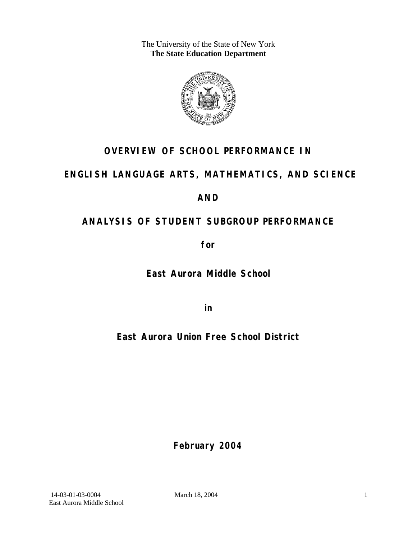The University of the State of New York **The State Education Department** 



# **OVERVIEW OF SCHOOL PERFORMANCE IN**

# **ENGLISH LANGUAGE ARTS, MATHEMATICS, AND SCIENCE**

# **AND**

# **ANALYSIS OF STUDENT SUBGROUP PERFORMANCE**

**for** 

**East Aurora Middle School**

**in** 

**East Aurora Union Free School District**

**February 2004**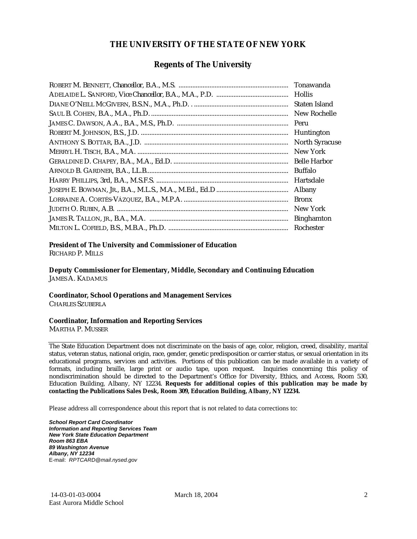#### **THE UNIVERSITY OF THE STATE OF NEW YORK**

#### **Regents of The University**

| Tonawanda             |
|-----------------------|
| <b>Hollis</b>         |
| Staten Island         |
| New Rochelle          |
| Peru                  |
| Huntington            |
| <b>North Syracuse</b> |
| New York              |
| <b>Belle Harbor</b>   |
| Buffalo               |
| Hartsdale             |
| Albany                |
| <b>Bronx</b>          |
| New York              |
| <b>Binghamton</b>     |
| Rochester             |

#### **President of The University and Commissioner of Education**

RICHARD P. MILLS

**Deputy Commissioner for Elementary, Middle, Secondary and Continuing Education**  JAMES A. KADAMUS

#### **Coordinator, School Operations and Management Services**

CHARLES SZUBERLA

#### **Coordinator, Information and Reporting Services**

MARTHA P. MUSSER

The State Education Department does not discriminate on the basis of age, color, religion, creed, disability, marital status, veteran status, national origin, race, gender, genetic predisposition or carrier status, or sexual orientation in its educational programs, services and activities. Portions of this publication can be made available in a variety of formats, including braille, large print or audio tape, upon request. Inquiries concerning this policy of nondiscrimination should be directed to the Department's Office for Diversity, Ethics, and Access, Room 530, Education Building, Albany, NY 12234. **Requests for additional copies of this publication may be made by contacting the Publications Sales Desk, Room 309, Education Building, Albany, NY 12234.** 

Please address all correspondence about this report that is not related to data corrections to:

*School Report Card Coordinator Information and Reporting Services Team New York State Education Department Room 863 EBA 89 Washington Avenue Albany, NY 12234*  E-mail: *RPTCARD@mail.nysed.gov*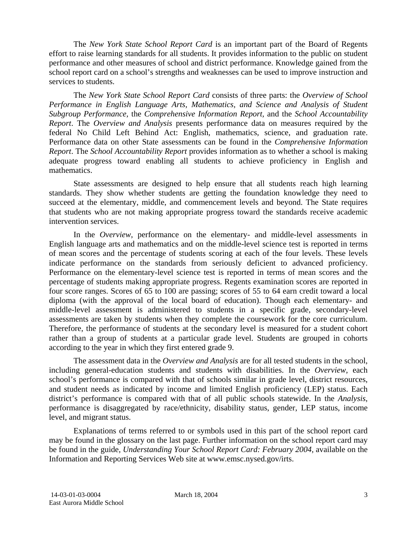The *New York State School Report Card* is an important part of the Board of Regents effort to raise learning standards for all students. It provides information to the public on student performance and other measures of school and district performance. Knowledge gained from the school report card on a school's strengths and weaknesses can be used to improve instruction and services to students.

The *New York State School Report Card* consists of three parts: the *Overview of School Performance in English Language Arts, Mathematics, and Science and Analysis of Student Subgroup Performance,* the *Comprehensive Information Report,* and the *School Accountability Report*. The *Overview and Analysis* presents performance data on measures required by the federal No Child Left Behind Act: English, mathematics, science, and graduation rate. Performance data on other State assessments can be found in the *Comprehensive Information Report*. The *School Accountability Report* provides information as to whether a school is making adequate progress toward enabling all students to achieve proficiency in English and mathematics.

State assessments are designed to help ensure that all students reach high learning standards. They show whether students are getting the foundation knowledge they need to succeed at the elementary, middle, and commencement levels and beyond. The State requires that students who are not making appropriate progress toward the standards receive academic intervention services.

In the *Overview*, performance on the elementary- and middle-level assessments in English language arts and mathematics and on the middle-level science test is reported in terms of mean scores and the percentage of students scoring at each of the four levels. These levels indicate performance on the standards from seriously deficient to advanced proficiency. Performance on the elementary-level science test is reported in terms of mean scores and the percentage of students making appropriate progress. Regents examination scores are reported in four score ranges. Scores of 65 to 100 are passing; scores of 55 to 64 earn credit toward a local diploma (with the approval of the local board of education). Though each elementary- and middle-level assessment is administered to students in a specific grade, secondary-level assessments are taken by students when they complete the coursework for the core curriculum. Therefore, the performance of students at the secondary level is measured for a student cohort rather than a group of students at a particular grade level. Students are grouped in cohorts according to the year in which they first entered grade 9.

The assessment data in the *Overview and Analysis* are for all tested students in the school, including general-education students and students with disabilities. In the *Overview*, each school's performance is compared with that of schools similar in grade level, district resources, and student needs as indicated by income and limited English proficiency (LEP) status. Each district's performance is compared with that of all public schools statewide. In the *Analysis*, performance is disaggregated by race/ethnicity, disability status, gender, LEP status, income level, and migrant status.

Explanations of terms referred to or symbols used in this part of the school report card may be found in the glossary on the last page. Further information on the school report card may be found in the guide, *Understanding Your School Report Card: February 2004*, available on the Information and Reporting Services Web site at www.emsc.nysed.gov/irts.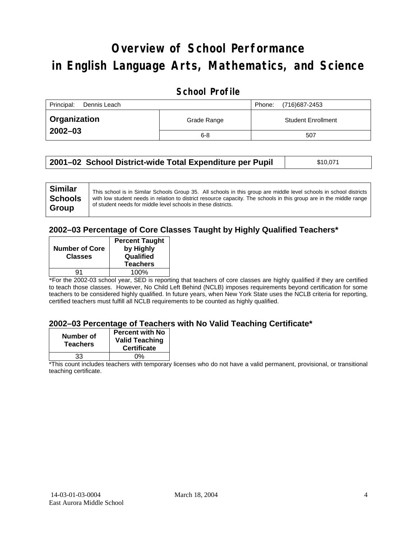# **Overview of School Performance in English Language Arts, Mathematics, and Science**

### **School Profile**

| Principal:<br>Dennis Leach |             | (716)687-2453<br>Phone:   |
|----------------------------|-------------|---------------------------|
| <b>Organization</b>        | Grade Range | <b>Student Enrollment</b> |
| $2002 - 03$                | $6 - 8$     | 507                       |

| 2001–02 School District-wide Total Expenditure per Pupil | \$10,071 |
|----------------------------------------------------------|----------|
|----------------------------------------------------------|----------|

| <b>Similar</b> | This school is in Similar Schools Group 35. All schools in this group are middle level schools in school districts  |
|----------------|---------------------------------------------------------------------------------------------------------------------|
| <b>Schools</b> | with low student needs in relation to district resource capacity. The schools in this group are in the middle range |
| Group          | of student needs for middle level schools in these districts.                                                       |
|                |                                                                                                                     |

#### **2002–03 Percentage of Core Classes Taught by Highly Qualified Teachers\***

| <b>Number of Core</b><br><b>Classes</b> | <b>Percent Taught</b><br>by Highly<br>Qualified<br><b>Teachers</b> |
|-----------------------------------------|--------------------------------------------------------------------|
| а1                                      | 100%                                                               |
|                                         |                                                                    |

\*For the 2002-03 school year, SED is reporting that teachers of core classes are highly qualified if they are certified to teach those classes. However, No Child Left Behind (NCLB) imposes requirements beyond certification for some teachers to be considered highly qualified. In future years, when New York State uses the NCLB criteria for reporting, certified teachers must fulfill all NCLB requirements to be counted as highly qualified.

#### **2002–03 Percentage of Teachers with No Valid Teaching Certificate\***

| Number of<br><b>Teachers</b> | <b>Percent with No</b><br><b>Valid Teaching</b><br><b>Certificate</b> |
|------------------------------|-----------------------------------------------------------------------|
| 33                           | ሰ%                                                                    |

\*This count includes teachers with temporary licenses who do not have a valid permanent, provisional, or transitional teaching certificate.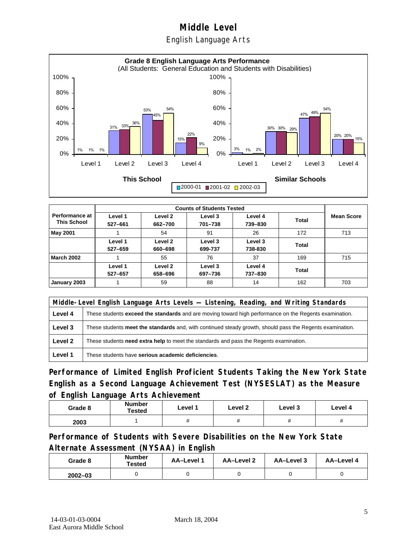### English Language Arts



| <b>Performance at</b><br><b>This School</b> | Level 1<br>527-661 | Level 2<br>662-700 | Level 3<br>701-738 | Level 4<br>739-830 | Total | <b>Mean Score</b> |
|---------------------------------------------|--------------------|--------------------|--------------------|--------------------|-------|-------------------|
| May 2001                                    |                    | 54                 | 91                 | 26                 | 172   | 713               |
|                                             | Level 1<br>527-659 | Level 2<br>660-698 | Level 3<br>699-737 | Level 3<br>738-830 | Total |                   |
| <b>March 2002</b>                           |                    | 55                 | 76                 | 37                 | 169   | 715               |
|                                             | Level 1<br>527-657 | Level 2<br>658-696 | Level 3<br>697-736 | Level 4<br>737-830 | Total |                   |
| January 2003                                |                    | 59                 | 88                 | 14                 | 162   | 703               |

|         | Middle-Level English Language Arts Levels — Listening, Reading, and Writing Standards                         |  |  |
|---------|---------------------------------------------------------------------------------------------------------------|--|--|
| Level 4 | These students <b>exceed the standards</b> and are moving toward high performance on the Regents examination. |  |  |
| Level 3 | These students meet the standards and, with continued steady growth, should pass the Regents examination.     |  |  |
| Level 2 | These students need extra help to meet the standards and pass the Regents examination.                        |  |  |
| Level 1 | These students have serious academic deficiencies.                                                            |  |  |

**Performance of Limited English Proficient Students Taking the New York State English as a Second Language Achievement Test (NYSESLAT) as the Measure of English Language Arts Achievement**

| Grade 8 | Number<br>Tested | Level 1 | Level 2  | Level 3  | Level 4  |
|---------|------------------|---------|----------|----------|----------|
| 2003    |                  | Ħ       | $^{\pi}$ | $^{\pi}$ | $^{\pi}$ |

**Performance of Students with Severe Disabilities on the New York State Alternate Assessment (NYSAA) in English** 

| Grade 8     | <b>Number</b><br>Tested | AA-Level 1 | AA-Level 2 | AA-Level 3 | AA-Level 4 |
|-------------|-------------------------|------------|------------|------------|------------|
| $2002 - 03$ |                         |            |            |            |            |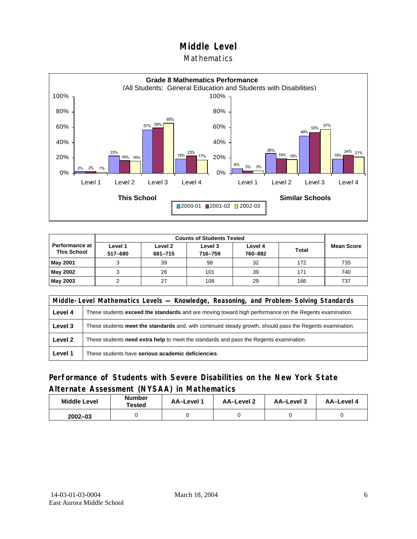#### **Mathematics**



| <b>Counts of Students Tested</b>     |                    |                    |                    |                    |              |                   |
|--------------------------------------|--------------------|--------------------|--------------------|--------------------|--------------|-------------------|
| Performance at<br><b>This School</b> | Level 1<br>517-680 | Level 2<br>681-715 | Level 3<br>716-759 | Level 4<br>760-882 | <b>Total</b> | <b>Mean Score</b> |
| <b>May 2001</b>                      |                    | 39                 | 98                 | 32                 | 172          | 735               |
| May 2002                             |                    | 28                 | 101                | 39                 | 171          | 740               |
| May 2003                             |                    | 27                 | 108                | 29                 | 166          | 737               |

|         | Middle-Level Mathematics Levels — Knowledge, Reasoning, and Problem-Solving Standards                     |  |  |
|---------|-----------------------------------------------------------------------------------------------------------|--|--|
| Level 4 | These students exceed the standards and are moving toward high performance on the Regents examination.    |  |  |
| Level 3 | These students meet the standards and, with continued steady growth, should pass the Regents examination. |  |  |
| Level 2 | These students <b>need extra help</b> to meet the standards and pass the Regents examination.             |  |  |
| Level 1 | These students have serious academic deficiencies.                                                        |  |  |

### **Performance of Students with Severe Disabilities on the New York State Alternate Assessment (NYSAA) in Mathematics**

| <b>Middle Level</b> | <b>Number</b><br>Tested | <b>AA-Level</b> | AA-Level 2 | AA-Level 3 | AA-Level 4 |  |
|---------------------|-------------------------|-----------------|------------|------------|------------|--|
| $2002 - 03$         |                         |                 |            |            |            |  |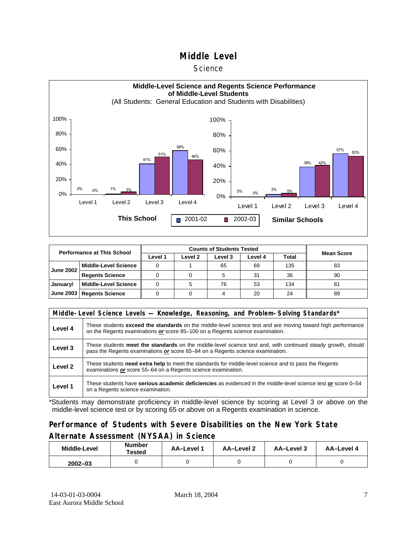#### **Science**



| <b>Performance at This School</b> |                             |         | <b>Mean Score</b> |         |         |       |    |
|-----------------------------------|-----------------------------|---------|-------------------|---------|---------|-------|----|
|                                   |                             | Level 1 | Level 2           | Level 3 | Level 4 | Total |    |
| <b>June 2002</b>                  | l Middle-Level Science      |         |                   | 65      | 69      | 135   | 83 |
|                                   | <b>Regents Science</b>      |         |                   |         | 31      | 36    | 90 |
| January/                          | Middle-Level Science        |         |                   | 76      | 53      | 134   | 81 |
|                                   | June 2003   Regents Science |         |                   |         | 20      | 24    | 89 |

|         | Middle-Level Science Levels — Knowledge, Reasoning, and Problem-Solving Standards*                                                                                                             |  |  |  |  |  |  |  |
|---------|------------------------------------------------------------------------------------------------------------------------------------------------------------------------------------------------|--|--|--|--|--|--|--|
| Level 4 | These students exceed the standards on the middle-level science test and are moving toward high performance<br>on the Regents examinations or score 85-100 on a Regents science examination.   |  |  |  |  |  |  |  |
| Level 3 | These students meet the standards on the middle-level science test and, with continued steady growth, should<br>pass the Regents examinations or score 65–84 on a Regents science examination. |  |  |  |  |  |  |  |
| Level 2 | These students need extra help to meet the standards for middle-level science and to pass the Regents<br>examinations or score 55-64 on a Regents science examination.                         |  |  |  |  |  |  |  |
| Level 1 | These students have serious academic deficiencies as evidenced in the middle-level science test or score 0–54<br>on a Regents science examination.                                             |  |  |  |  |  |  |  |

\*Students may demonstrate proficiency in middle-level science by scoring at Level 3 or above on the middle-level science test or by scoring 65 or above on a Regents examination in science.

#### **Performance of Students with Severe Disabilities on the New York State Alternate Assessment (NYSAA) in Science**

| Middle-Level | <b>Number</b><br>Tested | AA-Level 1 | AA-Level 2 | AA-Level 3 | AA-Level 4 |  |
|--------------|-------------------------|------------|------------|------------|------------|--|
| $2002 - 03$  |                         |            |            |            |            |  |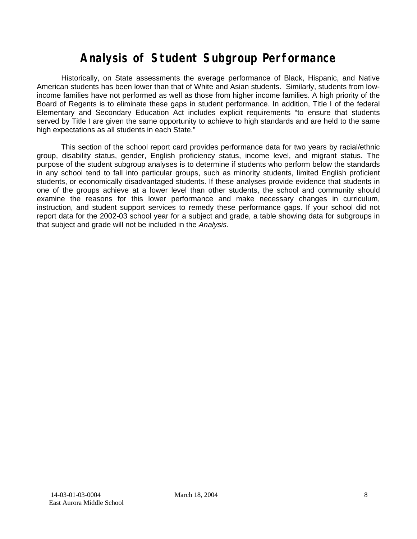# **Analysis of Student Subgroup Performance**

Historically, on State assessments the average performance of Black, Hispanic, and Native American students has been lower than that of White and Asian students. Similarly, students from lowincome families have not performed as well as those from higher income families. A high priority of the Board of Regents is to eliminate these gaps in student performance. In addition, Title I of the federal Elementary and Secondary Education Act includes explicit requirements "to ensure that students served by Title I are given the same opportunity to achieve to high standards and are held to the same high expectations as all students in each State."

This section of the school report card provides performance data for two years by racial/ethnic group, disability status, gender, English proficiency status, income level, and migrant status. The purpose of the student subgroup analyses is to determine if students who perform below the standards in any school tend to fall into particular groups, such as minority students, limited English proficient students, or economically disadvantaged students. If these analyses provide evidence that students in one of the groups achieve at a lower level than other students, the school and community should examine the reasons for this lower performance and make necessary changes in curriculum, instruction, and student support services to remedy these performance gaps. If your school did not report data for the 2002-03 school year for a subject and grade, a table showing data for subgroups in that subject and grade will not be included in the *Analysis*.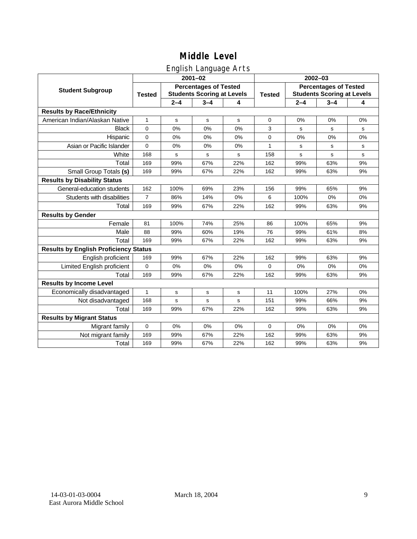### English Language Arts

|                                              |                |             | ັ<br>$2001 - 02$                                                  |     | 2002-03 |                                                                   |         |    |  |
|----------------------------------------------|----------------|-------------|-------------------------------------------------------------------|-----|---------|-------------------------------------------------------------------|---------|----|--|
| <b>Student Subgroup</b>                      | <b>Tested</b>  |             | <b>Percentages of Tested</b><br><b>Students Scoring at Levels</b> |     |         | <b>Percentages of Tested</b><br><b>Students Scoring at Levels</b> |         |    |  |
|                                              |                | $2 - 4$     | $3 - 4$                                                           | 4   |         | $2 - 4$                                                           | $3 - 4$ | 4  |  |
| <b>Results by Race/Ethnicity</b>             |                |             |                                                                   |     |         |                                                                   |         |    |  |
| American Indian/Alaskan Native               | 1              | $\mathbf s$ | $\mathbf s$                                                       | s   | 0       | 0%                                                                | 0%      | 0% |  |
| <b>Black</b>                                 | $\mathbf 0$    | 0%          | 0%                                                                | 0%  | 3       | s                                                                 | s       | s  |  |
| Hispanic                                     | $\Omega$       | 0%          | 0%                                                                | 0%  | 0       | 0%                                                                | 0%      | 0% |  |
| Asian or Pacific Islander                    | 0              | 0%          | 0%                                                                | 0%  | 1       | s                                                                 | s       | s  |  |
| White                                        | 168            | $\mathbf s$ | $\mathbf s$                                                       | s   | 158     | $\mathbf s$                                                       | s       | s  |  |
| Total                                        | 169            | 99%         | 67%                                                               | 22% | 162     | 99%                                                               | 63%     | 9% |  |
| Small Group Totals (s)                       | 169            | 99%         | 67%                                                               | 22% | 162     | 99%                                                               | 63%     | 9% |  |
| <b>Results by Disability Status</b>          |                |             |                                                                   |     |         |                                                                   |         |    |  |
| General-education students                   | 162            | 100%        | 69%                                                               | 23% | 156     | 99%                                                               | 65%     | 9% |  |
| Students with disabilities                   | $\overline{7}$ | 86%         | 14%                                                               | 0%  | 6       | 100%                                                              | 0%      | 0% |  |
| Total                                        | 169            | 99%         | 67%                                                               | 22% | 162     | 99%                                                               | 63%     | 9% |  |
| <b>Results by Gender</b>                     |                |             |                                                                   |     |         |                                                                   |         |    |  |
| Female                                       | 81             | 100%        | 74%                                                               | 25% | 86      | 100%                                                              | 65%     | 9% |  |
| Male                                         | 88             | 99%         | 60%                                                               | 19% | 76      | 99%                                                               | 61%     | 8% |  |
| Total                                        | 169            | 99%         | 67%                                                               | 22% | 162     | 99%                                                               | 63%     | 9% |  |
| <b>Results by English Proficiency Status</b> |                |             |                                                                   |     |         |                                                                   |         |    |  |
| English proficient                           | 169            | 99%         | 67%                                                               | 22% | 162     | 99%                                                               | 63%     | 9% |  |
| Limited English proficient                   | $\mathbf 0$    | 0%          | 0%                                                                | 0%  | 0       | 0%                                                                | 0%      | 0% |  |
| Total                                        | 169            | 99%         | 67%                                                               | 22% | 162     | 99%                                                               | 63%     | 9% |  |
| <b>Results by Income Level</b>               |                |             |                                                                   |     |         |                                                                   |         |    |  |
| Economically disadvantaged                   | $\mathbf{1}$   | s           | $\mathbf s$                                                       | s   | 11      | 100%                                                              | 27%     | 0% |  |
| Not disadvantaged                            | 168            | s           | $\mathbf s$                                                       | s   | 151     | 99%                                                               | 66%     | 9% |  |
| Total                                        | 169            | 99%         | 67%                                                               | 22% | 162     | 99%                                                               | 63%     | 9% |  |
| <b>Results by Migrant Status</b>             |                |             |                                                                   |     |         |                                                                   |         |    |  |
| Migrant family                               | $\mathbf 0$    | 0%          | 0%                                                                | 0%  | 0       | 0%                                                                | 0%      | 0% |  |
| Not migrant family                           | 169            | 99%         | 67%                                                               | 22% | 162     | 99%                                                               | 63%     | 9% |  |
| Total                                        | 169            | 99%         | 67%                                                               | 22% | 162     | 99%                                                               | 63%     | 9% |  |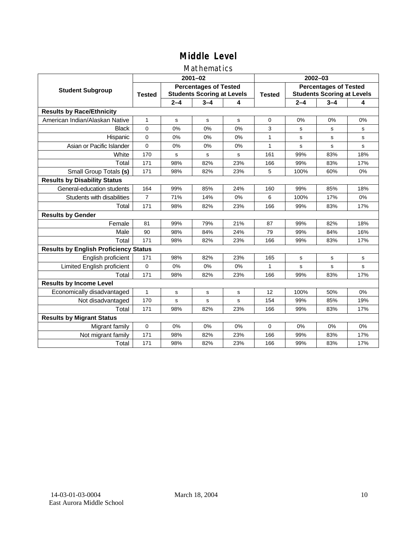### Mathematics

|                                              |                |         | $2001 - 02$                                                       |     | $2002 - 03$ |                                                                   |             |             |  |
|----------------------------------------------|----------------|---------|-------------------------------------------------------------------|-----|-------------|-------------------------------------------------------------------|-------------|-------------|--|
| <b>Student Subgroup</b>                      | <b>Tested</b>  |         | <b>Percentages of Tested</b><br><b>Students Scoring at Levels</b> |     |             | <b>Percentages of Tested</b><br><b>Students Scoring at Levels</b> |             |             |  |
|                                              |                | $2 - 4$ | $3 - 4$                                                           | 4   |             | $2 - 4$                                                           | $3 - 4$     | 4           |  |
| <b>Results by Race/Ethnicity</b>             |                |         |                                                                   |     |             |                                                                   |             |             |  |
| American Indian/Alaskan Native               | 1              | s       | s                                                                 | s   | $\Omega$    | 0%                                                                | 0%          | 0%          |  |
| <b>Black</b>                                 | $\mathbf 0$    | 0%      | 0%                                                                | 0%  | 3           | s                                                                 | s           | s           |  |
| Hispanic                                     | $\mathbf 0$    | 0%      | 0%                                                                | 0%  | 1           | s                                                                 | s           | $\mathbf s$ |  |
| Asian or Pacific Islander                    | 0              | 0%      | 0%                                                                | 0%  | 1           | $\mathbf s$                                                       | $\mathbf s$ | $\mathbf s$ |  |
| White                                        | 170            | s       | $\mathbf s$                                                       | s   | 161         | 99%                                                               | 83%         | 18%         |  |
| Total                                        | 171            | 98%     | 82%                                                               | 23% | 166         | 99%                                                               | 83%         | 17%         |  |
| Small Group Totals (s)                       | 171            | 98%     | 82%                                                               | 23% | 5           | 100%                                                              | 60%         | 0%          |  |
| <b>Results by Disability Status</b>          |                |         |                                                                   |     |             |                                                                   |             |             |  |
| General-education students                   | 164            | 99%     | 85%                                                               | 24% | 160         | 99%                                                               | 85%         | 18%         |  |
| Students with disabilities                   | $\overline{7}$ | 71%     | 14%                                                               | 0%  | 6           | 100%                                                              | 17%         | 0%          |  |
| Total                                        | 171            | 98%     | 82%                                                               | 23% | 166         | 99%                                                               | 83%         | 17%         |  |
| <b>Results by Gender</b>                     |                |         |                                                                   |     |             |                                                                   |             |             |  |
| Female                                       | 81             | 99%     | 79%                                                               | 21% | 87          | 99%                                                               | 82%         | 18%         |  |
| Male                                         | 90             | 98%     | 84%                                                               | 24% | 79          | 99%                                                               | 84%         | 16%         |  |
| Total                                        | 171            | 98%     | 82%                                                               | 23% | 166         | 99%                                                               | 83%         | 17%         |  |
| <b>Results by English Proficiency Status</b> |                |         |                                                                   |     |             |                                                                   |             |             |  |
| English proficient                           | 171            | 98%     | 82%                                                               | 23% | 165         | s                                                                 | s           | s           |  |
| Limited English proficient                   | $\mathbf 0$    | 0%      | 0%                                                                | 0%  | 1           | s                                                                 | s           | s           |  |
| Total                                        | 171            | 98%     | 82%                                                               | 23% | 166         | 99%                                                               | 83%         | 17%         |  |
| <b>Results by Income Level</b>               |                |         |                                                                   |     |             |                                                                   |             |             |  |
| Economically disadvantaged                   | 1              | s       | s                                                                 | s   | 12          | 100%                                                              | 50%         | 0%          |  |
| Not disadvantaged                            | 170            | S       | s                                                                 | s   | 154         | 99%                                                               | 85%         | 19%         |  |
| Total                                        | 171            | 98%     | 82%                                                               | 23% | 166         | 99%                                                               | 83%         | 17%         |  |
| <b>Results by Migrant Status</b>             |                |         |                                                                   |     |             |                                                                   |             |             |  |
| Migrant family                               | $\mathbf 0$    | 0%      | 0%                                                                | 0%  | $\Omega$    | 0%                                                                | 0%          | 0%          |  |
| Not migrant family                           | 171            | 98%     | 82%                                                               | 23% | 166         | 99%                                                               | 83%         | 17%         |  |
| Total                                        | 171            | 98%     | 82%                                                               | 23% | 166         | 99%                                                               | 83%         | 17%         |  |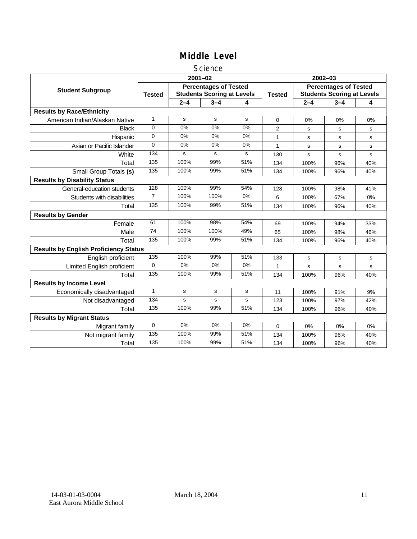#### Science

|                                              |                |         | $2001 - 02$                                                       |       | $2002 - 03$    |                                                                   |         |     |
|----------------------------------------------|----------------|---------|-------------------------------------------------------------------|-------|----------------|-------------------------------------------------------------------|---------|-----|
| <b>Student Subgroup</b>                      | <b>Tested</b>  |         | <b>Percentages of Tested</b><br><b>Students Scoring at Levels</b> |       | <b>Tested</b>  | <b>Percentages of Tested</b><br><b>Students Scoring at Levels</b> |         |     |
|                                              |                | $2 - 4$ | $3 - 4$                                                           | 4     |                | $2 - 4$                                                           | $3 - 4$ | 4   |
| <b>Results by Race/Ethnicity</b>             |                |         |                                                                   |       |                |                                                                   |         |     |
| American Indian/Alaskan Native               | $\mathbf{1}$   | s       | s                                                                 | s     | $\Omega$       | 0%                                                                | 0%      | 0%  |
| <b>Black</b>                                 | 0              | 0%      | 0%                                                                | 0%    | $\overline{2}$ | s                                                                 | s       | s   |
| Hispanic                                     | 0              | 0%      | 0%                                                                | 0%    | 1              | s                                                                 | s       | s   |
| Asian or Pacific Islander                    | $\Omega$       | 0%      | 0%                                                                | 0%    | 1              | s                                                                 | s       | s   |
| White                                        | 134            | s       | s                                                                 | s     | 130            | $\mathbf s$                                                       | s       | s   |
| Total                                        | 135            | 100%    | 99%                                                               | 51%   | 134            | 100%                                                              | 96%     | 40% |
| Small Group Totals (s)                       | 135            | 100%    | 99%                                                               | 51%   | 134            | 100%                                                              | 96%     | 40% |
| <b>Results by Disability Status</b>          |                |         |                                                                   |       |                |                                                                   |         |     |
| General-education students                   | 128            | 100%    | 99%                                                               | 54%   | 128            | 100%                                                              | 98%     | 41% |
| Students with disabilities                   | $\overline{7}$ | 100%    | 100%                                                              | $0\%$ | 6              | 100%                                                              | 67%     | 0%  |
| Total                                        | 135            | 100%    | 99%                                                               | 51%   | 134            | 100%                                                              | 96%     | 40% |
| <b>Results by Gender</b>                     |                |         |                                                                   |       |                |                                                                   |         |     |
| Female                                       | 61             | 100%    | 98%                                                               | 54%   | 69             | 100%                                                              | 94%     | 33% |
| Male                                         | 74             | 100%    | 100%                                                              | 49%   | 65             | 100%                                                              | 98%     | 46% |
| Total                                        | 135            | 100%    | 99%                                                               | 51%   | 134            | 100%                                                              | 96%     | 40% |
| <b>Results by English Proficiency Status</b> |                |         |                                                                   |       |                |                                                                   |         |     |
| English proficient                           | 135            | 100%    | 99%                                                               | 51%   | 133            | s                                                                 | s       | s   |
| Limited English proficient                   | $\Omega$       | $0\%$   | 0%                                                                | $0\%$ |                | s                                                                 | s       | s   |
| Total                                        | 135            | 100%    | 99%                                                               | 51%   | 134            | 100%                                                              | 96%     | 40% |
| <b>Results by Income Level</b>               |                |         |                                                                   |       |                |                                                                   |         |     |
| Economically disadvantaged                   | $\mathbf{1}$   | s       | s                                                                 | s     | 11             | 100%                                                              | 91%     | 9%  |
| Not disadvantaged                            | 134            | s       | s                                                                 | s     | 123            | 100%                                                              | 97%     | 42% |
| Total                                        | 135            | 100%    | 99%                                                               | 51%   | 134            | 100%                                                              | 96%     | 40% |
| <b>Results by Migrant Status</b>             |                |         |                                                                   |       |                |                                                                   |         |     |
| Migrant family                               | $\mathbf 0$    | 0%      | 0%                                                                | 0%    | 0              | 0%                                                                | 0%      | 0%  |
| Not migrant family                           | 135            | 100%    | 99%                                                               | 51%   | 134            | 100%                                                              | 96%     | 40% |
| Total                                        | 135            | 100%    | 99%                                                               | 51%   | 134            | 100%                                                              | 96%     | 40% |